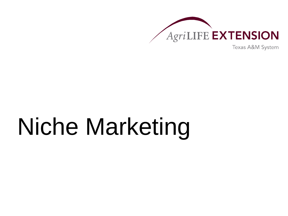

Texas A&M System

# Niche Marketing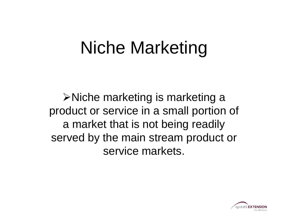## Niche Marketing

**≻Niche marketing is marketing a** product or service in a small portion of a market that is not being readily served by the main stream product or service markets.

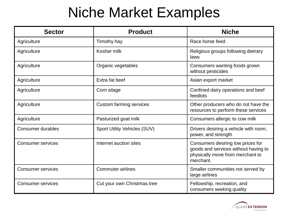### Niche Market Examples

| <b>Sector</b>            | <b>Product</b>               | <b>Niche</b>                                                                                                               |
|--------------------------|------------------------------|----------------------------------------------------------------------------------------------------------------------------|
| Agriculture              | Timothy hay                  | Race horse feed                                                                                                            |
| Agriculture              | Kosher milk                  | Religious groups following dietrary<br>laws                                                                                |
| Agriculture              | Organic vegetables           | Consumers wanting foods grown<br>without pesticides                                                                        |
| Agriculture              | Extra fat beef               | Asian export market                                                                                                        |
| Agriculture              | Corn silage                  | Confined dairy operations and beef<br>feedlots                                                                             |
| Agriculture              | Custom farming services      | Other producers who do not have the<br>resources to perform these services                                                 |
| Agriculture              | Pasturized goat milk         | Consumers allergic to cow milk                                                                                             |
| <b>Consumer durables</b> | Sport Utility Vehicles (SUV) | Drivers desiring a vehicle with room,<br>power, and strength                                                               |
| <b>Consumer services</b> | Internet auction sites       | Consumers desiring low prices for<br>goods and services without having to<br>physically move from merchant to<br>merchant. |
| <b>Consumer services</b> | <b>Commuter airlines</b>     | Smaller communities not served by<br>large airlines                                                                        |
| <b>Consumer services</b> | Cut your own Christmas tree  | Fellowship, recreation, and<br>consumers seeking quality                                                                   |

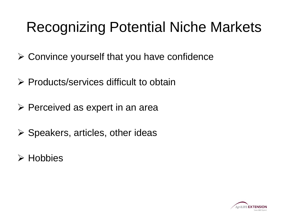## Recognizing Potential Niche Markets

- $\triangleright$  Convince yourself that you have confidence
- $\triangleright$  Products/services difficult to obtain
- $\triangleright$  Perceived as expert in an area
- $\triangleright$  Speakers, articles, other ideas
- **≻** Hobbies

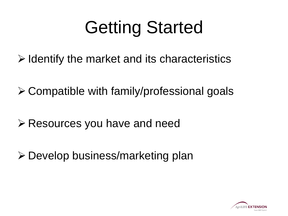# Getting Started

- $\triangleright$  Identify the market and its characteristics
- Compatible with family/professional goals
- **Exellengele Secure 2 Presources you have and needer**
- Develop business/marketing plan

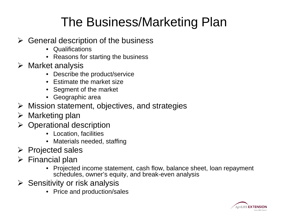#### The Business/Marketing Plan

- $\triangleright$  General description of the business
	- Qualifications
	- Reasons for starting the business
- $\triangleright$  Market analysis
	- Describe the product/service
	- Estimate the market size
	- Segment of the market
	- Geographic area
- $\triangleright$  Mission statement, objectives, and strategies
- $\triangleright$  Marketing plan
- $\triangleright$  Operational description
	- Location, facilities
	- Materials needed, staffing
- $\triangleright$  Projected sales
- $\triangleright$  Financial plan
	- Projected income statement, cash flow, balance sheet, loan repayment schedules, owner's equity, and break-even analysis
- $\triangleright$  Sensitivity or risk analysis
	- Price and production/sales